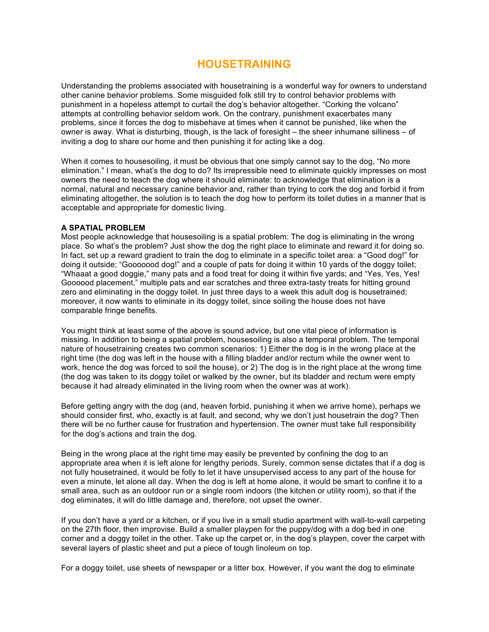# **HOUSETRAINING**

Understanding the problems associated with housetraining is a wonderful way for owners to understand other canine behavior problems. Some misguided folk still try to control behavior problems with punishment in a hopeless attempt to curtail the dog's behavior altogether. "Corking the volcano" attempts at controlling behavior seldom work. On the contrary, punishment exacerbates many problems, since it forces the dog to misbehave at times when it cannot be punished, like when the owner is away. What is disturbing, though, is the lack of foresight – the sheer inhumane silliness – of inviting a dog to share our home and then punishing it for acting like a dog.

When it comes to housesoiling, it must be obvious that one simply cannot say to the dog, "No more elimination." I mean, what's the dog to do? Its irrepressible need to eliminate quickly impresses on most owners the need to teach the dog where it should eliminate: to acknowledge that elimination is a normal, natural and necessary canine behavior and, rather than trying to cork the dog and forbid it from eliminating altogether, the solution is to teach the dog how to perform its toilet duties in a manner that is acceptable and appropriate for domestic living.

#### **A SPATIAL PROBLEM**

Most people acknowledge that housesoiling is a spatial problem: The dog is eliminating in the wrong place. So what's the problem? Just show the dog the right place to eliminate and reward it for doing so. In fact, set up a reward gradient to train the dog to eliminate in a specific toilet area: a "Good dog!" for doing it outside; "Gooooood dog!" and a couple of pats for doing it within 10 yards of the doggy toilet; "Whaaat a good doggie," many pats and a food treat for doing it within five yards; and "Yes, Yes, Yes! Goooood placement," multiple pats and ear scratches and three extra-tasty treats for hitting ground zero and eliminating in the doggy toilet. In just three days to a week this adult dog is housetrained; moreover, it now wants to eliminate in its doggy toilet, since soiling the house does not have comparable fringe benefits.

You might think at least some of the above is sound advice, but one vital piece of information is missing. In addition to being a spatial problem, housesoiling is also a temporal problem. The temporal nature of housetraining creates two common scenarios: 1) Either the dog is in the wrong place at the right time (the dog was left in the house with a filling bladder and/or rectum while the owner went to work, hence the dog was forced to soil the house), or 2) The dog is in the right place at the wrong time (the dog was taken to its doggy toilet or walked by the owner, but its bladder and rectum were empty because it had already eliminated in the living room when the owner was at work).

Before getting angry with the dog (and, heaven forbid, punishing it when we arrive home), perhaps we should consider first, who, exactly is at fault, and second, why we don't just housetrain the dog? Then there will be no further cause for frustration and hypertension. The owner must take full responsibility for the dog's actions and train the dog.

Being in the wrong place at the right time may easily be prevented by confining the dog to an appropriate area when it is left alone for lengthy periods. Surely, common sense dictates that if a dog is not fully housetrained, it would be folly to let it have unsupervised access to any part of the house for even a minute, let alone all day. When the dog is left at home alone, it would be smart to confine it to a small area, such as an outdoor run or a single room indoors (the kitchen or utility room), so that if the dog eliminates, it will do little damage and, therefore, not upset the owner.

If you don't have a yard or a kitchen, or if you live in a small studio apartment with wall-to-wall carpeting on the 27th floor, then improvise. Build a smaller playpen for the puppy/dog with a dog bed in one corner and a doggy toilet in the other. Take up the carpet or, in the dog's playpen, cover the carpet with several layers of plastic sheet and put a piece of tough linoleum on top.

For a doggy toilet, use sheets of newspaper or a litter box. However, if you want the dog to eliminate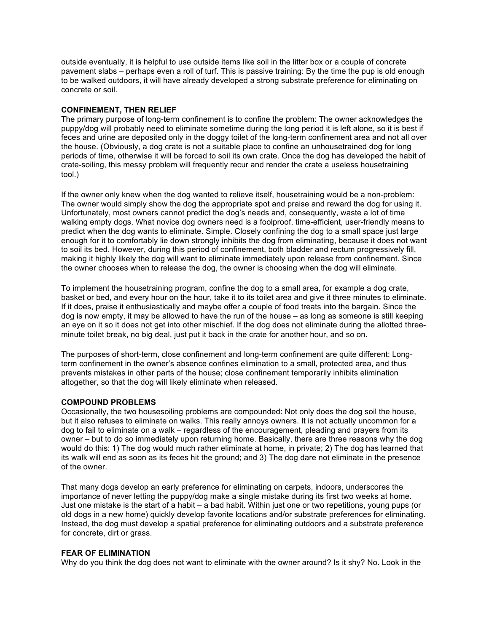outside eventually, it is helpful to use outside items like soil in the litter box or a couple of concrete pavement slabs – perhaps even a roll of turf. This is passive training: By the time the pup is old enough to be walked outdoors, it will have already developed a strong substrate preference for eliminating on concrete or soil.

## **CONFINEMENT, THEN RELIEF**

The primary purpose of long-term confinement is to confine the problem: The owner acknowledges the puppy/dog will probably need to eliminate sometime during the long period it is left alone, so it is best if feces and urine are deposited only in the doggy toilet of the long-term confinement area and not all over the house. (Obviously, a dog crate is not a suitable place to confine an unhousetrained dog for long periods of time, otherwise it will be forced to soil its own crate. Once the dog has developed the habit of crate-soiling, this messy problem will frequently recur and render the crate a useless housetraining tool.)

If the owner only knew when the dog wanted to relieve itself, housetraining would be a non-problem: The owner would simply show the dog the appropriate spot and praise and reward the dog for using it. Unfortunately, most owners cannot predict the dog's needs and, consequently, waste a lot of time walking empty dogs. What novice dog owners need is a foolproof, time-efficient, user-friendly means to predict when the dog wants to eliminate. Simple. Closely confining the dog to a small space just large enough for it to comfortably lie down strongly inhibits the dog from eliminating, because it does not want to soil its bed. However, during this period of confinement, both bladder and rectum progressively fill, making it highly likely the dog will want to eliminate immediately upon release from confinement. Since the owner chooses when to release the dog, the owner is choosing when the dog will eliminate.

To implement the housetraining program, confine the dog to a small area, for example a dog crate, basket or bed, and every hour on the hour, take it to its toilet area and give it three minutes to eliminate. If it does, praise it enthusiastically and maybe offer a couple of food treats into the bargain. Since the dog is now empty, it may be allowed to have the run of the house – as long as someone is still keeping an eye on it so it does not get into other mischief. If the dog does not eliminate during the allotted threeminute toilet break, no big deal, just put it back in the crate for another hour, and so on.

The purposes of short-term, close confinement and long-term confinement are quite different: Longterm confinement in the owner's absence confines elimination to a small, protected area, and thus prevents mistakes in other parts of the house; close confinement temporarily inhibits elimination altogether, so that the dog will likely eliminate when released.

#### **COMPOUND PROBLEMS**

Occasionally, the two housesoiling problems are compounded: Not only does the dog soil the house, but it also refuses to eliminate on walks. This really annoys owners. It is not actually uncommon for a dog to fail to eliminate on a walk – regardless of the encouragement, pleading and prayers from its owner – but to do so immediately upon returning home. Basically, there are three reasons why the dog would do this: 1) The dog would much rather eliminate at home, in private; 2) The dog has learned that its walk will end as soon as its feces hit the ground; and 3) The dog dare not eliminate in the presence of the owner.

That many dogs develop an early preference for eliminating on carpets, indoors, underscores the importance of never letting the puppy/dog make a single mistake during its first two weeks at home. Just one mistake is the start of a habit – a bad habit. Within just one or two repetitions, young pups (or old dogs in a new home) quickly develop favorite locations and/or substrate preferences for eliminating. Instead, the dog must develop a spatial preference for eliminating outdoors and a substrate preference for concrete, dirt or grass.

## **FEAR OF ELIMINATION**

Why do you think the dog does not want to eliminate with the owner around? Is it shy? No. Look in the